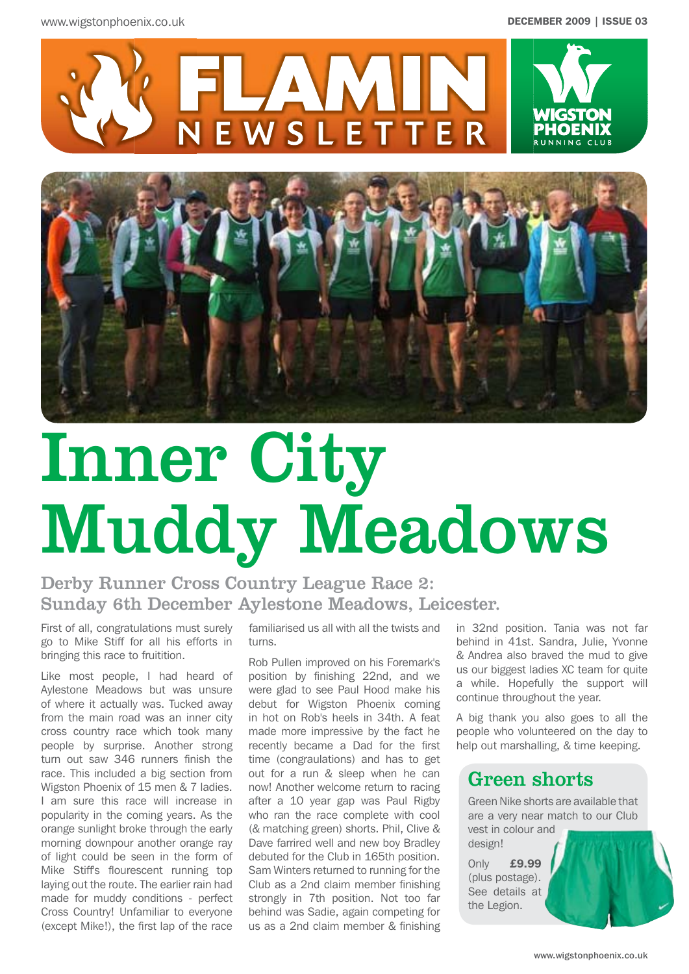



# Inner City Muddy Meadows

# Derby Runner Cross Country League Race 2: Sunday 6th December Aylestone Meadows, Leicester.

First of all, congratulations must surely go to Mike Stiff for all his efforts in bringing this race to fruitition.

Like most people, I had heard of Aylestone Meadows but was unsure of where it actually was. Tucked away from the main road was an inner city cross country race which took many people by surprise. Another strong turn out saw 346 runners finish the race. This included a big section from Wigston Phoenix of 15 men & 7 ladies. I am sure this race will increase in popularity in the coming years. As the orange sunlight broke through the early morning downpour another orange ray of light could be seen in the form of Mike Stiff's flourescent running top laying out the route. The earlier rain had made for muddy conditions - perfect Cross Country! Unfamiliar to everyone (except Mike!), the first lap of the race

familiarised us all with all the twists and turns.

Rob Pullen improved on his Foremark's position by finishing 22nd, and we were glad to see Paul Hood make his debut for Wigston Phoenix coming in hot on Rob's heels in 34th. A feat made more impressive by the fact he recently became a Dad for the first time (congraulations) and has to get out for a run & sleep when he can now! Another welcome return to racing after a 10 year gap was Paul Rigby who ran the race complete with cool (& matching green) shorts. Phil, Clive & Dave farrired well and new boy Bradley debuted for the Club in 165th position. Sam Winters returned to running for the Club as a 2nd claim member finishing strongly in 7th position. Not too far behind was Sadie, again competing for us as a 2nd claim member & finishing

in 32nd position. Tania was not far behind in 41st. Sandra, Julie, Yvonne & Andrea also braved the mud to give us our biggest ladies XC team for quite a while. Hopefully the support will continue throughout the year.

A big thank you also goes to all the people who volunteered on the day to help out marshalling, & time keeping.

## Green shorts

Green Nike shorts are available that are a very near match to our Club vest in colour and design!

Only £9.99 (plus postage). See details at the Legion.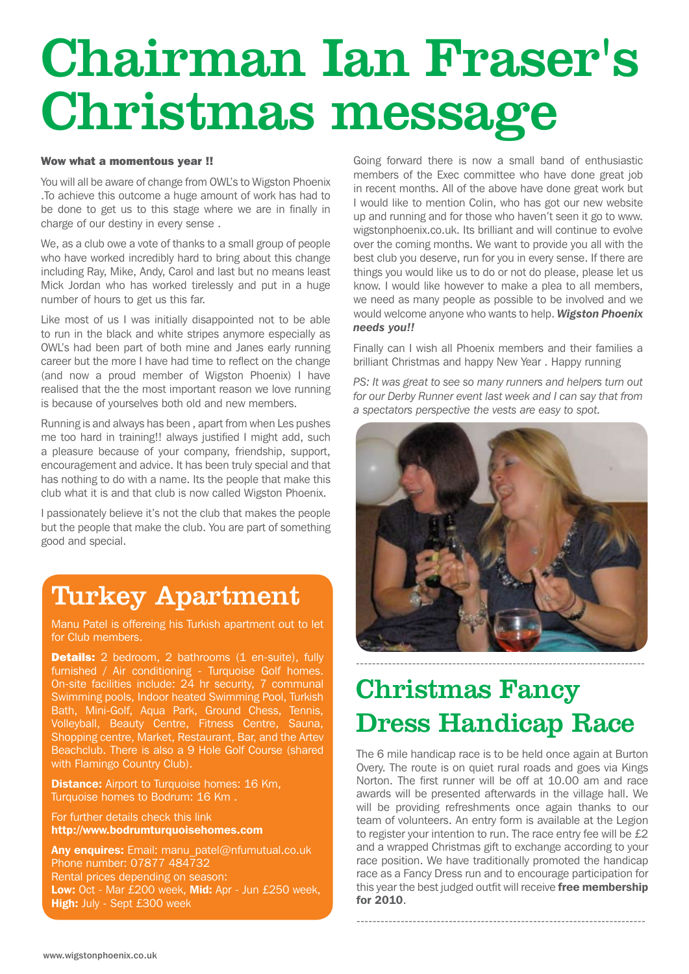# Chairman Ian Fraser's Christmas message

#### Wow what a momentous year !!

You will all be aware of change from OWL's to Wigston Phoenix .To achieve this outcome a huge amount of work has had to be done to get us to this stage where we are in finally in charge of our destiny in every sense .

We, as a club owe a vote of thanks to a small group of people who have worked incredibly hard to bring about this change including Ray, Mike, Andy, Carol and last but no means least Mick Jordan who has worked tirelessly and put in a huge number of hours to get us this far.

Like most of us I was initially disappointed not to be able to run in the black and white stripes anymore especially as OWL's had been part of both mine and Janes early running career but the more I have had time to reflect on the change (and now a proud member of Wigston Phoenix) I have realised that the the most important reason we love running is because of yourselves both old and new members.

Running is and always has been , apart from when Les pushes me too hard in training!! always justified I might add, such a pleasure because of your company, friendship, support, encouragement and advice. It has been truly special and that has nothing to do with a name. Its the people that make this club what it is and that club is now called Wigston Phoenix.

I passionately believe it's not the club that makes the people but the people that make the club. You are part of something good and special.

# Turkey Apartment

Manu Patel is offereing his Turkish apartment out to let for Club members.

**Details:** 2 bedroom, 2 bathrooms (1 en-suite), fully furnished / Air conditioning - Turquoise Golf homes. On-site facilities include: 24 hr security, 7 communal Swimming pools, Indoor heated Swimming Pool, Turkish Bath, Mini-Golf, Aqua Park, Ground Chess, Tennis, Volleyball, Beauty Centre, Fitness Centre, Sauna, Shopping centre, Market, Restaurant, Bar, and the Artev Beachclub. There is also a 9 Hole Golf Course (shared with Flamingo Country Club).

**Distance:** Airport to Turquoise homes: 16 Km, Turquoise homes to Bodrum: 16 Km .

For further details check this link http://www.bodrumturquoisehomes.com

Any enquires: Email: manu\_patel@nfumutual.co.uk Phone number: 07877 484732 Rental prices depending on season: Low: Oct - Mar £200 week, Mid: Apr - Jun £250 week, High: July - Sept £300 week

Going forward there is now a small band of enthusiastic members of the Exec committee who have done great job in recent months. All of the above have done great work but I would like to mention Colin, who has got our new website up and running and for those who haven't seen it go to www. wigstonphoenix.co.uk. Its brilliant and will continue to evolve over the coming months. We want to provide you all with the best club you deserve, run for you in every sense. If there are things you would like us to do or not do please, please let us know. I would like however to make a plea to all members, we need as many people as possible to be involved and we would welcome anyone who wants to help. *Wigston Phoenix needs you!!*

Finally can I wish all Phoenix members and their families a brilliant Christmas and happy New Year . Happy running

*PS: It was great to see so many runners and helpers turn out for our Derby Runner event last week and I can say that from a spectators perspective the vests are easy to spot.*



# Christmas Fancy Dress Handicap Race

The 6 mile handicap race is to be held once again at Burton Overy. The route is on quiet rural roads and goes via Kings Norton. The first runner will be off at 10.00 am and race awards will be presented afterwards in the village hall. We will be providing refreshments once again thanks to our team of volunteers. An entry form is available at the Legion to register your intention to run. The race entry fee will be £2 and a wrapped Christmas gift to exchange according to your race position. We have traditionally promoted the handicap race as a Fancy Dress run and to encourage participation for this year the best judged outfit will receive free membership for 2010.

------------------------------------------------------------------------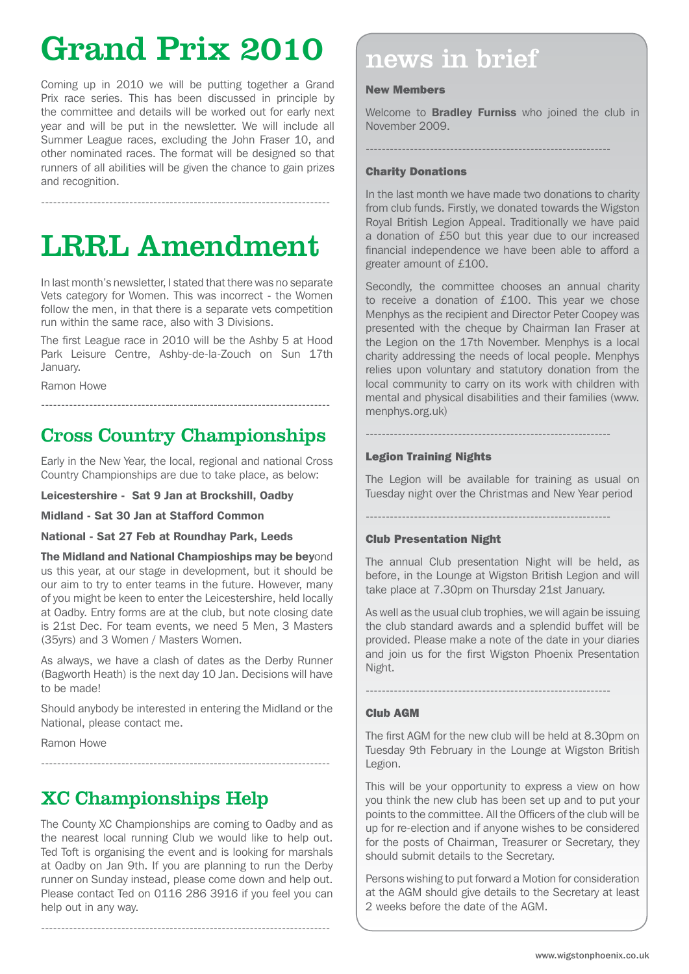# Grand Prix 2010 news in brief

Coming up in 2010 we will be putting together a Grand Prix race series. This has been discussed in principle by the committee and details will be worked out for early next year and will be put in the newsletter. We will include all Summer League races, excluding the John Fraser 10, and other nominated races. The format will be designed so that runners of all abilities will be given the chance to gain prizes and recognition.

LRRL Amendment

------------------------------------------------------------------------

In last month's newsletter, I stated that there was no separate Vets category for Women. This was incorrect - the Women follow the men, in that there is a separate vets competition run within the same race, also with 3 Divisions.

The first League race in 2010 will be the Ashby 5 at Hood Park Leisure Centre, Ashby-de-la-Zouch on Sun 17th January.

Ramon Howe

## Cross Country Championships

------------------------------------------------------------------------

Early in the New Year, the local, regional and national Cross Country Championships are due to take place, as below:

Leicestershire - Sat 9 Jan at Brockshill, Oadby

Midland - Sat 30 Jan at Stafford Common

National - Sat 27 Feb at Roundhay Park, Leeds

The Midland and National Champioships may be beyond us this year, at our stage in development, but it should be our aim to try to enter teams in the future. However, many of you might be keen to enter the Leicestershire, held locally at Oadby. Entry forms are at the club, but note closing date is 21st Dec. For team events, we need 5 Men, 3 Masters (35yrs) and 3 Women / Masters Women.

As always, we have a clash of dates as the Derby Runner (Bagworth Heath) is the next day 10 Jan. Decisions will have to be made!

Should anybody be interested in entering the Midland or the National, please contact me.

------------------------------------------------------------------------

Ramon Howe

## XC Championships Help

The County XC Championships are coming to Oadby and as the nearest local running Club we would like to help out. Ted Toft is organising the event and is looking for marshals at Oadby on Jan 9th. If you are planning to run the Derby runner on Sunday instead, please come down and help out. Please contact Ted on 0116 286 3916 if you feel you can help out in any way.

 $-$ 

#### New Members

Welcome to **Bradley Furniss** who joined the club in November 2009.

-------------------------------------------------------------

#### Charity Donations

In the last month we have made two donations to charity from club funds. Firstly, we donated towards the Wigston Royal British Legion Appeal. Traditionally we have paid a donation of £50 but this year due to our increased financial independence we have been able to afford a greater amount of £100.

Secondly, the committee chooses an annual charity to receive a donation of £100. This year we chose Menphys as the recipient and Director Peter Coopey was presented with the cheque by Chairman Ian Fraser at the Legion on the 17th November. Menphys is a local charity addressing the needs of local people. Menphys relies upon voluntary and statutory donation from the local community to carry on its work with children with mental and physical disabilities and their families (www. menphys.org.uk)

### Legion Training Nights

The Legion will be available for training as usual on Tuesday night over the Christmas and New Year period

-------------------------------------------------------------

-------------------------------------------------------------

#### Club Presentation Night

The annual Club presentation Night will be held, as before, in the Lounge at Wigston British Legion and will take place at 7.30pm on Thursday 21st January.

As well as the usual club trophies, we will again be issuing the club standard awards and a splendid buffet will be provided. Please make a note of the date in your diaries and join us for the first Wigston Phoenix Presentation Night.

#### Club AGM

The first AGM for the new club will be held at 8.30pm on Tuesday 9th February in the Lounge at Wigston British Legion.

This will be your opportunity to express a view on how you think the new club has been set up and to put your points to the committee. All the Officers of the club will be up for re-election and if anyone wishes to be considered for the posts of Chairman, Treasurer or Secretary, they should submit details to the Secretary.

Persons wishing to put forward a Motion for consideration at the AGM should give details to the Secretary at least 2 weeks before the date of the AGM.